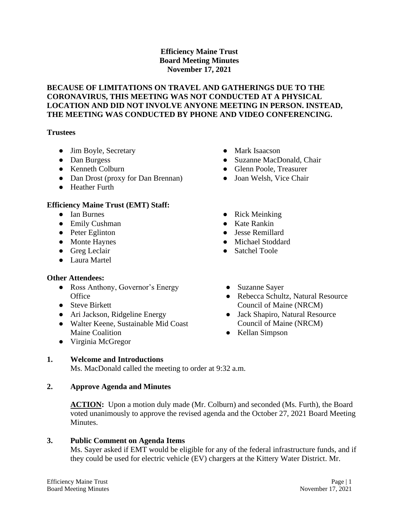## **Efficiency Maine Trust Board Meeting Minutes November 17, 2021**

### **BECAUSE OF LIMITATIONS ON TRAVEL AND GATHERINGS DUE TO THE CORONAVIRUS, THIS MEETING WAS NOT CONDUCTED AT A PHYSICAL LOCATION AND DID NOT INVOLVE ANYONE MEETING IN PERSON. INSTEAD, THE MEETING WAS CONDUCTED BY PHONE AND VIDEO CONFERENCING.**

#### **Trustees**

- Jim Boyle, Secretary
- Dan Burgess
- Kenneth Colburn
- Dan Drost (proxy for Dan Brennan)
- Heather Furth

## **Efficiency Maine Trust (EMT) Staff:**

- Ian Burnes
- Emily Cushman
- Peter Eglinton
- Monte Haynes
- Greg Leclair
- Laura Martel

## **Other Attendees:**

- Ross Anthony, Governor's Energy **Office**
- Steve Birkett
- Ari Jackson, Ridgeline Energy
- Walter Keene, Sustainable Mid Coast Maine Coalition
- Virginia McGregor

# **1. Welcome and Introductions**

Ms. MacDonald called the meeting to order at 9:32 a.m.

# **2. Approve Agenda and Minutes**

**ACTION:** Upon a motion duly made (Mr. Colburn) and seconded (Ms. Furth), the Board voted unanimously to approve the revised agenda and the October 27, 2021 Board Meeting Minutes.

## **3. Public Comment on Agenda Items**

Ms. Sayer asked if EMT would be eligible for any of the federal infrastructure funds, and if they could be used for electric vehicle (EV) chargers at the Kittery Water District. Mr.

- Mark Isaacson
- Suzanne MacDonald, Chair
- Glenn Poole, Treasurer
- Joan Welsh, Vice Chair
- Rick Meinking
- Kate Rankin
- Jesse Remillard
- Michael Stoddard
- Satchel Toole
- Suzanne Sayer
- Rebecca Schultz, Natural Resource Council of Maine (NRCM)
- Jack Shapiro, Natural Resource Council of Maine (NRCM)
- Kellan Simpson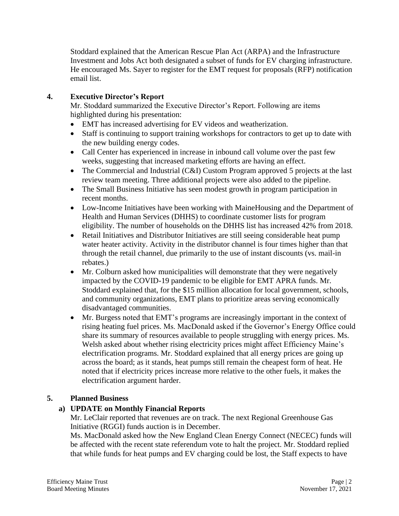Stoddard explained that the American Rescue Plan Act (ARPA) and the Infrastructure Investment and Jobs Act both designated a subset of funds for EV charging infrastructure. He encouraged Ms. Sayer to register for the EMT request for proposals (RFP) notification email list.

## **4. Executive Director's Report**

Mr. Stoddard summarized the Executive Director's Report. Following are items highlighted during his presentation:

- EMT has increased advertising for EV videos and weatherization.
- Staff is continuing to support training workshops for contractors to get up to date with the new building energy codes.
- Call Center has experienced in increase in inbound call volume over the past few weeks, suggesting that increased marketing efforts are having an effect.
- The Commercial and Industrial (C&I) Custom Program approved 5 projects at the last review team meeting. Three additional projects were also added to the pipeline.
- The Small Business Initiative has seen modest growth in program participation in recent months.
- Low-Income Initiatives have been working with MaineHousing and the Department of Health and Human Services (DHHS) to coordinate customer lists for program eligibility. The number of households on the DHHS list has increased 42% from 2018.
- Retail Initiatives and Distributor Initiatives are still seeing considerable heat pump water heater activity. Activity in the distributor channel is four times higher than that through the retail channel, due primarily to the use of instant discounts (vs. mail-in rebates.)
- Mr. Colburn asked how municipalities will demonstrate that they were negatively impacted by the COVID-19 pandemic to be eligible for EMT APRA funds. Mr. Stoddard explained that, for the \$15 million allocation for local government, schools, and community organizations, EMT plans to prioritize areas serving economically disadvantaged communities.
- Mr. Burgess noted that EMT's programs are increasingly important in the context of rising heating fuel prices. Ms. MacDonald asked if the Governor's Energy Office could share its summary of resources available to people struggling with energy prices. Ms. Welsh asked about whether rising electricity prices might affect Efficiency Maine's electrification programs. Mr. Stoddard explained that all energy prices are going up across the board; as it stands, heat pumps still remain the cheapest form of heat. He noted that if electricity prices increase more relative to the other fuels, it makes the electrification argument harder.

## **5. Planned Business**

# **a) UPDATE on Monthly Financial Reports**

Mr. LeClair reported that revenues are on track. The next Regional Greenhouse Gas Initiative (RGGI) funds auction is in December.

Ms. MacDonald asked how the New England Clean Energy Connect (NECEC) funds will be affected with the recent state referendum vote to halt the project. Mr. Stoddard replied that while funds for heat pumps and EV charging could be lost, the Staff expects to have